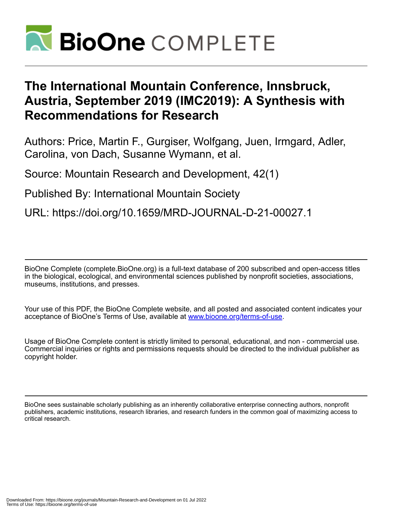

# **The International Mountain Conference, Innsbruck, Austria, September 2019 (IMC2019): A Synthesis with Recommendations for Research**

Authors: Price, Martin F., Gurgiser, Wolfgang, Juen, Irmgard, Adler, Carolina, von Dach, Susanne Wymann, et al.

Source: Mountain Research and Development, 42(1)

Published By: International Mountain Society

URL: https://doi.org/10.1659/MRD-JOURNAL-D-21-00027.1

BioOne Complete (complete.BioOne.org) is a full-text database of 200 subscribed and open-access titles in the biological, ecological, and environmental sciences published by nonprofit societies, associations, museums, institutions, and presses.

Your use of this PDF, the BioOne Complete website, and all posted and associated content indicates your acceptance of BioOne's Terms of Use, available at www.bioone.org/terms-of-use.

Usage of BioOne Complete content is strictly limited to personal, educational, and non - commercial use. Commercial inquiries or rights and permissions requests should be directed to the individual publisher as copyright holder.

BioOne sees sustainable scholarly publishing as an inherently collaborative enterprise connecting authors, nonprofit publishers, academic institutions, research libraries, and research funders in the common goal of maximizing access to critical research.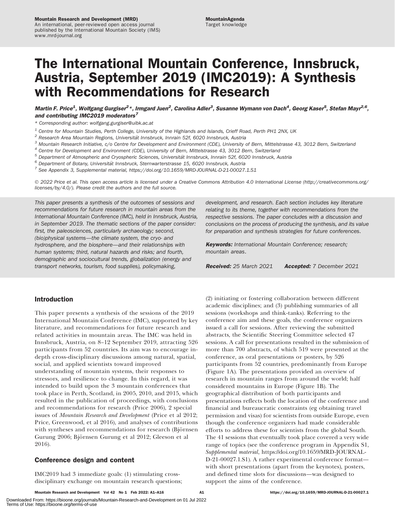# The International Mountain Conference, Innsbruck, Austria, September 2019 (IMC2019): A Synthesis with Recommendations for Research

Martin F. Price<sup>1</sup>, Wolfgang Gurgiser<sup>2\*</sup>, Irmgard Juen<sup>2</sup>, Carolina Adler<sup>3</sup>, Susanne Wymann von Dach<sup>4</sup>, Georg Kaser<sup>5</sup>, Stefan Mayr<sup>2,6</sup>, and contributing IMC2019 moderators<sup>7</sup>

\* Corresponding author: [wolfgang.gurgiser@uibk.ac.at](mailto:wolfgang.gurgiser@uibk.ac.at)

- $1$  Centre for Mountain Studies, Perth College, University of the Highlands and Islands, Crieff Road, Perth PH1 2NX, UK
- $2$  Research Area Mountain Regions, Universität Innsbruck, Innrain 52f, 6020 Innsbruck, Austria
- $3$  Mountain Research Initiative, c/o Centre for Development and Environment (CDE), University of Bern, Mittelstrasse 43, 3012 Bern, Switzerland
- Centre for Development and Environment (CDE), University of Bern, Mittelstrasse 43, 3012 Bern, Switzerland
- <sup>5</sup> Department of Atmospheric and Cryospheric Sciences, Universität Innsbruck, Innrain 52f, 6020 Innsbruck, Austria<br><sup>6</sup> Department of Botany, Universität Innsbruck, Sternwarterstrasse 15, 6020 Innsbruck, Austria<br><sup>7</sup> See A
- 
- 

- 2022 Price et al. This open access article is licensed under a Creative Commons Attribution 4.0 International License [\(http://creativecommons.org/](http://creativecommons.org/licenses/by/4.0/) [licenses/by/4.0/](http://creativecommons.org/licenses/by/4.0/)). Please credit the authors and the full source.

This paper presents a synthesis of the outcomes of sessions and recommendations for future research in mountain areas from the International Mountain Conference (IMC), held in Innsbruck, Austria, in September 2019. The thematic sections of the paper consider: first, the paleosciences, particularly archaeology; second, (bio)physical systems—the climate system, the cryo- and hydrosphere, and the biosphere—and their relationships with human systems; third, natural hazards and risks; and fourth, demographic and sociocultural trends, globalization (energy and transport networks, tourism, food supplies), policymaking,

development, and research. Each section includes key literature relating to its theme, together with recommendations from the respective sessions. The paper concludes with a discussion and conclusions on the process of producing the synthesis, and its value for preparation and synthesis strategies for future conferences.

**Keywords:** International Mountain Conference; research; mountain areas.

Received: 25 March 2021 Accepted: 7 December 2021

#### Introduction

This paper presents a synthesis of the sessions of the 2019 International Mountain Conference (IMC), supported by key literature, and recommendations for future research and related activities in mountain areas. The IMC was held in Innsbruck, Austria, on 8–12 September 2019, attracting 526 participants from 52 countries. Its aim was to encourage indepth cross-disciplinary discussions among natural, spatial, social, and applied scientists toward improved understanding of mountain systems, their responses to stressors, and resilience to change. In this regard, it was intended to build upon the 3 mountain conferences that took place in Perth, Scotland, in 2005, 2010, and 2015, which resulted in the publication of proceedings, with conclusions and recommendations for research (Price 2006), 2 special issues of Mountain Research and Development (Price et al 2012; Price, Greenwood, et al 2016), and analyses of contributions with syntheses and recommendations for research (Björnsen Gurung 2006; Björnsen Gurung et al 2012; Gleeson et al 2016).

#### Conference design and content

IMC2019 had 3 immediate goals: (1) stimulating crossdisciplinary exchange on mountain research questions; (2) initiating or fostering collaboration between different academic disciplines; and (3) publishing summaries of all sessions (workshops and think-tanks). Referring to the conference aim and these goals, the conference organizers issued a call for sessions. After reviewing the submitted abstracts, the Scientific Steering Committee selected 47 sessions. A call for presentations resulted in the submission of more than 700 abstracts, of which 519 were presented at the conference, as oral presentations or posters, by 526 participants from 52 countries, predominantly from Europe (Figure 1A). The presentations provided an overview of research in mountain ranges from around the world; half considered mountains in Europe (Figure 1B). The geographical distribution of both participants and presentations reflects both the location of the conference and financial and bureaucratic constraints (eg obtaining travel permission and visas) for scientists from outside Europe, even though the conference organizers had made considerable efforts to address these for scientists from the global South. The 41 sessions that eventually took place covered a very wide range of topics (see the conference program in Appendix S1, Supplemental material, [https://doi.org/10.1659/MRD-JOURNAL-](https://doi.org/10.1659/MRD-JOURNAL-D-21-00027.1.S1)[D-21-00027.1.S1\)](https://doi.org/10.1659/MRD-JOURNAL-D-21-00027.1.S1). A rather experimental conference format with short presentations (apart from the keynotes), posters, and defined time slots for discussions—was designed to support the aims of the conference.

Mountain Research and Development Vol 42 No 1 Feb 2022: A1–A16 **https://doi.org/10.1659/MRD-JOURNAL-D-21-00027.1**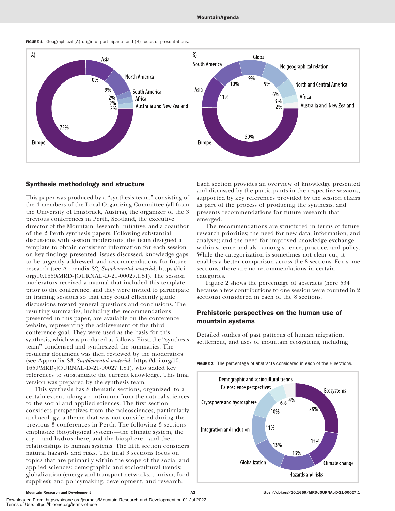



#### Synthesis methodology and structure

This paper was produced by a "synthesis team," consisting of the 4 members of the Local Organizing Committee (all from the University of Innsbruck, Austria), the organizer of the 3 previous conferences in Perth, Scotland, the executive director of the Mountain Research Initiative, and a coauthor of the 2 Perth synthesis papers. Following substantial discussions with session moderators, the team designed a template to obtain consistent information for each session on key findings presented, issues discussed, knowledge gaps to be urgently addressed, and recommendations for future research (see Appendix S2, Supplemental material, [https://doi.](https://doi.org/10.1659/MRD-JOURNAL-D-21-00027.1.S1) [org/10.1659/MRD-JOURNAL-D-21-00027.1.S1\)](https://doi.org/10.1659/MRD-JOURNAL-D-21-00027.1.S1). The session moderators received a manual that included this template prior to the conference, and they were invited to participate in training sessions so that they could efficiently guide discussions toward general questions and conclusions. The resulting summaries, including the recommendations presented in this paper, are available on the conference website, representing the achievement of the third conference goal. They were used as the basis for this synthesis, which was produced as follows. First, the ''synthesis team'' condensed and synthesized the summaries. The resulting document was then reviewed by the moderators (see Appendix S3, Supplemental material, [https://doi.org/10.](https://doi.org/10.1659/MRD-JOURNAL-D-21-00027.1.S1) [1659/MRD-JOURNAL-D-21-00027.1.S1](https://doi.org/10.1659/MRD-JOURNAL-D-21-00027.1.S1)), who added key references to substantiate the current knowledge. This final version was prepared by the synthesis team.

This synthesis has 8 thematic sections, organized, to a certain extent, along a continuum from the natural sciences to the social and applied sciences. The first section considers perspectives from the paleosciences, particularly archaeology, a theme that was not considered during the previous 3 conferences in Perth. The following 3 sections emphasize (bio)physical systems—the climate system, the cryo- and hydrosphere, and the biosphere—and their relationships to human systems. The fifth section considers natural hazards and risks. The final 3 sections focus on topics that are primarily within the scope of the social and applied sciences: demographic and sociocultural trends; globalization (energy and transport networks, tourism, food supplies); and policymaking, development, and research.

Each section provides an overview of knowledge presented and discussed by the participants in the respective sessions, supported by key references provided by the session chairs as part of the process of producing the synthesis, and presents recommendations for future research that emerged.

The recommendations are structured in terms of future research priorities; the need for new data, information, and analyses; and the need for improved knowledge exchange within science and also among science, practice, and policy. While the categorization is sometimes not clear-cut, it enables a better comparison across the 8 sections. For some sections, there are no recommendations in certain categories.

Figure 2 shows the percentage of abstracts (here 534 because a few contributions to one session were counted in 2 sections) considered in each of the 8 sections.

# Prehistoric perspectives on the human use of mountain systems

Detailed studies of past patterns of human migration, settlement, and uses of mountain ecosystems, including



FIGURE 2 The percentage of abstracts considered in each of the 8 sections.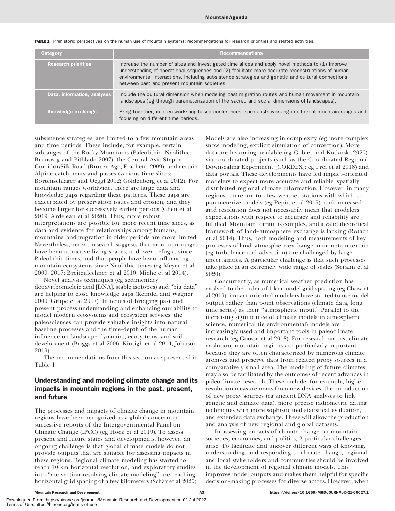| Category                    | <b>Recommendations</b>                                                                                                                                                                                                                                                                                                                                     |
|-----------------------------|------------------------------------------------------------------------------------------------------------------------------------------------------------------------------------------------------------------------------------------------------------------------------------------------------------------------------------------------------------|
| <b>Research priorities</b>  | Increase the number of sites and investigated time slices and apply novel methods to (1) improve<br>understanding of operational sequences and (2) facilitate more accurate reconstructions of human-<br>environmental interactions, including subsistence strategies and genetic and cultural connections<br>between past and present mountain societies. |
| Data, information, analyses | Include the cultural dimension when modeling past migration routes and human movement in mountain<br>landscapes (eg through parameterization of the sacred and social dimensions of landscapes).                                                                                                                                                           |
| Knowledge exchange          | Bring together, in open workshop-based conferences, specialists working in different mountain ranges and<br>focusing on different time periods.                                                                                                                                                                                                            |

TABLE 1 Prehistoric perspectives on the human use of mountain systems: recommendations for research priorities and related activities.

subsistence strategies, are limited to a few mountain areas and time periods. These include, for example, certain subranges of the Rocky Mountains (Paleolithic, Neolithic; Brunswig and Pitblado 2007), the Central Asia Steppe Corridor/Silk Road (Bronze Age; Frachetti 2009), and certain Alpine catchments and passes (various time slices; Bortenschlager and Oeggl 2012; Goldenberg et al 2012). For mountain ranges worldwide, there are large data and knowledge gaps regarding these patterns. These gaps are exacerbated by preservation issues and erosion, and they become larger for successively earlier periods (Chen et al 2019; Ardelean et al 2020). Thus, more robust interpretations are possible for more recent time slices, as data and evidence for relationships among humans, mountains, and migration in older periods are more limited. Nevertheless, recent research suggests that mountain ranges have been attractive living spaces, and even refugia, since Paleolithic times, and that people have been influencing mountain ecosystems since Neolithic times (eg Meyer et al 2009, 2017; Breitenlechner et al 2010; Miehe et al 2014).

Novel analysis techniques (eg sedimentary deoxyribonucleic acid [DNA], stable isotopes) and ''big data'' are helping to close knowledge gaps (Reindel and Wagner 2009; Grupe et al 2017). In terms of bridging past and present process understanding and enhancing our ability to model modern ecosystems and ecosystem services, the paleosciences can provide valuable insights into natural baseline processes and the time-depth of the human influence on landscape dynamics, ecosystems, and soil development (Briggs et al 2006; Kintigh et al 2014; Johnson 2019).

The recommendations from this section are presented in Table 1.

# Understanding and modeling climate change and its impacts in mountain regions in the past, present, and future

The processes and impacts of climate change in mountain regions have been recognized as a global concern in successive reports of the Intergovernmental Panel on Climate Change (IPCC) (eg Hock et al 2019). To assess present and future states and developments, however, an ongoing challenge is that global climate models do not provide outputs that are suitable for assessing impacts in these regions. Regional climate modeling has started to reach 10 km horizontal resolution, and exploratory studies into ''convection resolving climate modeling'' are reaching horizontal grid spacing of a few kilometers (Schär et al 2020).

Downloaded From: https://bioone.org/journals/Mountain-Research-and-Development on 01 Jul 2022

Models are also increasing in complexity (eg more complex snow modeling, explicit simulation of convection). More data are becoming available (eg Gobiet and Kotlarski 2020) via coordinated projects (such as the Coordinated Regional Downscaling Experiment [CORDEX]; eg Frei et al 2018) and data portals. These developments have led impact-oriented modelers to expect more accurate and reliable, spatially distributed regional climate information. However, in many regions, there are too few weather stations with which to parameterize models (eg Pepin et al 2019), and increased grid resolution does not necessarily mean that modelers' expectations with respect to accuracy and reliability are fulfilled. Mountain terrain is complex, and a valid theoretical framework of land–atmosphere exchange is lacking (Rotach et al 2014). Thus, both modeling and measurements of key processes of land–atmosphere exchange in mountain terrain (eg turbulence and advection) are challenged by large uncertainties. A particular challenge is that such processes take place at an extremely wide range of scales (Serafin et al 2020).

Concurrently, as numerical weather prediction has evolved to the order of 1 km model grid spacing (eg Chow et al 2019), impact-oriented modelers have started to use model output rather than point observations (climate data, long time series) as their ''atmospheric input.'' Parallel to the increasing significance of climate models in atmospheric science, numerical (ie environmental) models are increasingly used and important tools in paleoclimate research (eg Goosse et al 2018). For research on past climate evolution, mountain regions are particularly important because they are often characterized by numerous climate archives and preserve data from related proxy sources in a comparatively small area. The modeling of future climates may also be facilitated by the outcomes of recent advances in paleoclimate research. These include, for example, higherresolution measurements from new devices, the introduction of new proxy sources (eg ancient DNA analyses to link genetic and climate data), more precise radiometric dating techniques with more sophisticated statistical evaluation, and extended data exchange. These will allow the production and analysis of new regional and global datasets.

In assessing impacts of climate change on mountain societies, economies, and politics, 2 particular challenges arise. To facilitate and uncover different ways of knowing, understanding, and responding to climate change, regional and local stakeholders and communities should be involved in the development of regional climate models. This improves model outputs and makes them helpful for specific decision-making processes for diverse actors. However, when

Terms of Use: https://bioone.org/terms-of-use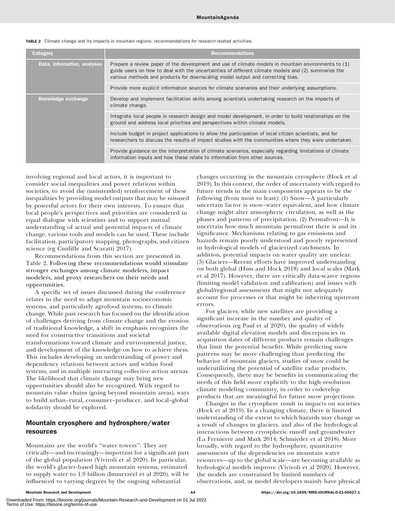|  |  |  |  |  |  | TABLE 2 Climate change and its impacts in mountain regions: recommendations for research-related activities. |  |  |  |
|--|--|--|--|--|--|--------------------------------------------------------------------------------------------------------------|--|--|--|
|--|--|--|--|--|--|--------------------------------------------------------------------------------------------------------------|--|--|--|

| Category                    | <b>Recommendations</b>                                                                                                                                                                                                                                                                       |
|-----------------------------|----------------------------------------------------------------------------------------------------------------------------------------------------------------------------------------------------------------------------------------------------------------------------------------------|
| Data, information, analyses | Prepare a review paper of the development and use of climate models in mountain environments to (1)<br>guide users on how to deal with the uncertainties of different climate models and (2) summarize the<br>various methods and products for downscaling model output and correcting bias. |
|                             | Provide more explicit information sources for climate scenarios and their underlying assumptions.                                                                                                                                                                                            |
| Knowledge exchange          | Develop and implement facilitation skills among scientists undertaking research on the impacts of<br>climate change.                                                                                                                                                                         |
|                             | Integrate local people in research design and model development, in order to build relationships on the<br>ground and address local priorities and perspectives within climate models.                                                                                                       |
|                             | Include budget in project applications to allow the participation of local citizen scientists, and for<br>researchers to discuss the results of impact studies with the communities where they were undertaken.                                                                              |
|                             | Provide guidance on the interpretation of climate scenarios, especially regarding limitations of climate<br>information inputs and how these relate to information from other sources.                                                                                                       |

involving regional and local actors, it is important to consider social inequalities and power relations within societies, to avoid the (unintended) reinforcement of these inequalities by providing model outputs that may be misused by powerful actors for their own interests. To ensure that local people's perspectives and priorities are considered in equal dialogue with scientists and to support mutual understanding of actual and potential impacts of climate change, various tools and models can be used. These include facilitation, participatory mapping, photographs, and citizen science (eg Cunliffe and Scaratti 2017).

Recommendations from this section are presented in Table 2. Following these recommendations would stimulate stronger exchanges among climate modelers, impact modelers, and proxy researchers on their needs and opportunities.

A specific set of issues discussed during the conference relates to the need to adapt mountain socioeconomic systems, and particularly agrofood systems, to climate change. While past research has focused on the identification of challenges deriving from climate change and the erosion of traditional knowledge, a shift in emphasis recognizes the need for constructive transitions and societal transformations toward climate and environmental justice, and development of the knowledge on how to achieve them. This includes developing an understanding of power and dependency relations between actors and within food systems, and in multiple interacting collective action arenas. The likelihood that climate change may bring new opportunities should also be recognized. With regard to mountain value chains (going beyond mountain areas), ways to build urban–rural, consumer–producer, and local–global solidarity should be explored.

## Mountain cryosphere and hydrosphere/water resources

Mountains are the world's ''water towers'': They are critically—and increasingly—important for a significant part of the global population (Viviroli et al 2020). In particular, the world's glacier-based high mountain systems, estimated to supply water to 1.9 billion (Immerzeel et al 2020), will be influenced to varying degrees by the ongoing substantial

changes occurring in the mountain cryosphere (Hock et al 2019). In this context, the order of uncertainty with regard to future trends in the main components appears to be the following (from most to least): (1) Snow—A particularly uncertain factor is snow–water equivalent, and how climate change might alter atmospheric circulation, as well as the phases and patterns of precipitation. (2) Permafrost—It is uncertain how much mountain permafrost there is and its significance. Mechanisms relating to gas emissions and hazards remain poorly understood and poorly represented in hydrological models of glacierized catchments. In addition, potential impacts on water quality are unclear. (3) Glaciers—Recent efforts have improved understanding on both global (Huss and Hock 2018) and local scales (Mark et al 2017). However, there are critically data-scarce regions (limiting model validation and calibration) and issues with global/regional assessments that might not adequately account for processes or that might be inheriting upstream errors.

For glaciers, while new satellites are providing a significant increase in the number and quality of observations (eg Paul et al 2020), the quality of widely available digital elevation models and discrepancies in acquisition dates of different products remain challenges that limit the potential benefits. While predicting snow patterns may be more challenging than predicting the behavior of mountain glaciers, studies of snow could be underutilizing the potential of satellite radar products. Consequently, there may be benefits in communicating the needs of this field more explicitly to the high-resolution climate modeling community, in order to codevelop products that are meaningful for future snow projections.

Changes in the cryosphere result in impacts on societies (Hock et al 2019). In a changing climate, there is limited understanding of the extent to which hazards may change as a result of changes in glaciers, and also of the hydrological interactions between cryospheric runoff and groundwater (La Frenierre and Mark 2014; Schmieder et al 2018). More broadly, with regard to the hydrosphere, quantitative assessments of the dependencies on mountain water resources—up to the global scale—are becoming available as hydrological models improve (Viviroli et al 2020). However, the models are constrained by limited numbers of observations, and, as model developers mainly have physical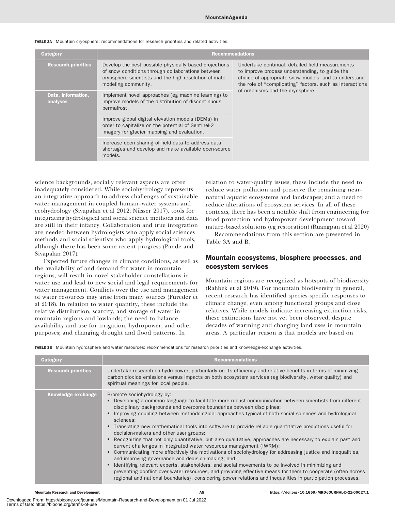| Category                       |                                                                                                                                                                                             | <b>Recommendations</b>                                                                                                                                                                                                 |
|--------------------------------|---------------------------------------------------------------------------------------------------------------------------------------------------------------------------------------------|------------------------------------------------------------------------------------------------------------------------------------------------------------------------------------------------------------------------|
| <b>Research priorities</b>     | Develop the best possible physically based projections<br>of snow conditions through collaborations between<br>cryosphere scientists and the high-resolution climate<br>modeling community. | Undertake continual, detailed field measurements<br>to improve process understanding, to guide the<br>choice of appropriate snow models, and to understand<br>the role of "complicating" factors, such as interactions |
| Data, information,<br>analyses | Implement novel approaches (eg machine learning) to<br>improve models of the distribution of discontinuous<br>permafrost.                                                                   | of organisms and the cryosphere.                                                                                                                                                                                       |
|                                | Improve global digital elevation models (DEMs) in<br>order to capitalize on the potential of Sentinel-2<br>imagery for glacier mapping and evaluation.                                      |                                                                                                                                                                                                                        |
|                                | Increase open sharing of field data to address data<br>shortages and develop and make available open-source<br>models.                                                                      |                                                                                                                                                                                                                        |

#### TABLE 3A Mountain cryosphere: recommendations for research priorities and related activities.

science backgrounds, socially relevant aspects are often inadequately considered. While sociohydrology represents an integrative approach to address challenges of sustainable water management in coupled human–water systems and ecohydrology (Sivapalan et al 2012; Nüsser 2017), tools for integrating hydrological and social science methods and data are still in their infancy. Collaboration and true integration are needed between hydrologists who apply social sciences methods and social scientists who apply hydrological tools, although there has been some recent progress (Pande and Sivapalan 2017).

Expected future changes in climate conditions, as well as the availability of and demand for water in mountain regions, will result in novel stakeholder constellations in water use and lead to new social and legal requirements for water management. Conflicts over the use and management of water resources may arise from many sources (Füreder et al 2018). In relation to water quantity, these include the relative distribution, scarcity, and storage of water in mountain regions and lowlands; the need to balance availability and use for irrigation, hydropower, and other purposes; and changing drought and flood patterns. In

relation to water-quality issues, these include the need to reduce water pollution and preserve the remaining nearnatural aquatic ecosystems and landscapes; and a need to reduce alterations of ecosystem services. In all of these contexts, there has been a notable shift from engineering for flood protection and hydropower development toward nature-based solutions (eg restoration) (Ruangpan et al 2020)

Recommendations from this section are presented in Table 3A and B.

# Mountain ecosystems, biosphere processes, and ecosystem services

Mountain regions are recognized as hotspots of biodiversity (Rahbek et al 2019). For mountain biodiversity in general, recent research has identified species-specific responses to climate change, even among functional groups and close relatives. While models indicate increasing extinction risks, these extinctions have not yet been observed, despite decades of warming and changing land uses in mountain areas. A particular reason is that models are based on

TABLE 3B Mountain hydrosphere and water resources: recommendations for research priorities and knowledge-exchange activities.

| Category                   | <b>Recommendations</b>                                                                                                                                                                                                                                                                                                                                                                                                                                                                                                                                                                                                                                                                                                                                                                                                                                                                                                                                                                                                                                                                                                                                                                  |
|----------------------------|-----------------------------------------------------------------------------------------------------------------------------------------------------------------------------------------------------------------------------------------------------------------------------------------------------------------------------------------------------------------------------------------------------------------------------------------------------------------------------------------------------------------------------------------------------------------------------------------------------------------------------------------------------------------------------------------------------------------------------------------------------------------------------------------------------------------------------------------------------------------------------------------------------------------------------------------------------------------------------------------------------------------------------------------------------------------------------------------------------------------------------------------------------------------------------------------|
| <b>Research priorities</b> | Undertake research on hydropower, particularly on its efficiency and relative benefits in terms of minimizing<br>carbon dioxide emissions versus impacts on both ecosystem services (eg biodiversity, water quality) and<br>spiritual meanings for local people.                                                                                                                                                                                                                                                                                                                                                                                                                                                                                                                                                                                                                                                                                                                                                                                                                                                                                                                        |
| Knowledge exchange         | Promote sociohydrology by:<br>• Developing a common language to facilitate more robust communication between scientists from different<br>disciplinary backgrounds and overcome boundaries between disciplines;<br>Improving coupling between methodological approaches typical of both social sciences and hydrological<br>sciences:<br>• Translating new mathematical tools into software to provide reliable quantitative predictions useful for<br>decision-makers and other user groups;<br>Recognizing that not only quantitative, but also qualitative, approaches are necessary to explain past and<br>current challenges in integrated water resources management (IWRM);<br>Communicating more effectively the motivations of sociohydrology for addressing justice and inequalities,<br>and improving governance and decision-making; and<br>Identifying relevant experts, stakeholders, and social movements to be involved in minimizing and<br>preventing conflict over water resources, and providing effective means for them to cooperate (often across<br>regional and national boundaries), considering power relations and inequalities in participation processes. |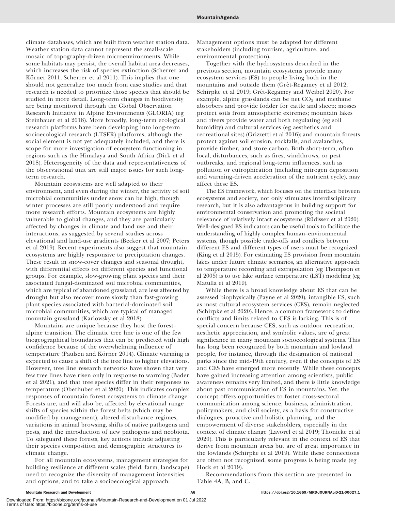climate databases, which are built from weather station data. Weather station data cannot represent the small-scale mosaic of topography-driven microenvironments. While some habitats may persist, the overall habitat area decreases, which increases the risk of species extinction (Scherrer and Körner 2011; Scherrer et al 2011). This implies that one should not generalize too much from case studies and that research is needed to prioritize those species that should be studied in more detail. Long-term changes in biodiversity are being monitored through the Global Observation Research Initiative in Alpine Environments (GLORIA) (eg Steinbauer et al 2018). More broadly, long-term ecological research platforms have been developing into long-term socioecological research (LTSER) platforms, although the social element is not yet adequately included, and there is scope for more investigation of ecosystem functioning in regions such as the Himalaya and South Africa (Dick et al 2018). Heterogeneity of the data and representativeness of the observational unit are still major issues for such longterm research.

Mountain ecosystems are well adapted to their environment, and even during the winter, the activity of soil microbial communities under snow can be high, though winter processes are still poorly understood and require more research efforts. Mountain ecosystems are highly vulnerable to global changes, and they are particularly affected by changes in climate and land use and their interactions, as suggested by several studies across elevational and land-use gradients (Becker et al 2007; Peters et al 2019). Recent experiments also suggest that mountain ecosystems are highly responsive to precipitation changes. These result in snow-cover changes and seasonal drought, with differential effects on different species and functional groups. For example, slow-growing plant species and their associated fungal-dominated soil microbial communities, which are typical of abandoned grassland, are less affected by drought but also recover more slowly than fast-growing plant species associated with bacterial-dominated soil microbial communities, which are typical of managed mountain grassland (Karlowsky et al 2018).

Mountains are unique because they host the forest– alpine transition. The climatic tree line is one of the few biogeographical boundaries that can be predicted with high confidence because of the overwhelming influence of temperature (Paulsen and Körner 2014). Climate warming is expected to cause a shift of the tree line to higher elevations. However, tree line research networks have shown that very few tree lines have risen only in response to warming (Bader et al 2021), and that tree species differ in their responses to temperature (Oberhuber et al 2020). This indicates complex responses of mountain forest ecosystems to climate change. Forests are, and will also be, affected by elevational range shifts of species within the forest belts (which may be modified by management), altered disturbance regimes, variations in animal browsing, shifts of native pathogens and pests, and the introduction of new pathogens and neobiota. To safeguard these forests, key actions include adjusting their species composition and demographic structures to climate change.

For all mountain ecosystems, management strategies for building resilience at different scales (field, farm, landscape) need to recognize the diversity of management intensities and options, and to take a socioecological approach.

Management options must be adapted for different stakeholders (including tourism, agriculture, and environmental protection).

Together with the hydrosystems described in the previous section, mountain ecosystems provide many ecosystem services (ES) to people living both in the mountains and outside them (Grêt-Regamey et al 2012; Schirpke et al 2019; Grêt-Regamey and Weibel 2020). For example, alpine grasslands can be net  $CO<sub>2</sub>$  and methane absorbers and provide fodder for cattle and sheep; mosses protect soils from atmospheric extremes; mountain lakes and rivers provide water and both regulating (eg soil humidity) and cultural services (eg aesthetics and recreational sites) (Grizzetti et al 2016); and mountain forests protect against soil erosion, rockfalls, and avalanches, provide timber, and store carbon. Both short-term, often local, disturbances, such as fires, windthrows, or pest outbreaks, and regional long-term influences, such as pollution or eutrophication (including nitrogen deposition and warming-driven acceleration of the nutrient cycle), may affect these ES.

The ES framework, which focuses on the interface between ecosystems and society, not only stimulates interdisciplinary research, but it is also advantageous in building support for environmental conservation and promoting the societal relevance of relatively intact ecosystems (Rüdisser et al 2020). Well-designed ES indicators can be useful tools to facilitate the understanding of highly complex human–environmental systems, though possible trade-offs and conflicts between different ES and different types of users must be recognized (King et al 2015). For estimating ES provision from mountain lakes under future climate scenarios, an alternative approach to temperature recording and extrapolation (eg Thompson et al 2005) is to use lake surface temperature (LST) modeling (eg Matulla et al 2019).

While there is a broad knowledge about ES that can be assessed biophysically (Payne et al 2020), intangible ES, such as most cultural ecosystem services (CES), remain neglected (Schirpke et al 2020). Hence, a common framework to define conflicts and limits related to CES is lacking. This is of special concern because CES, such as outdoor recreation, aesthetic appreciation, and symbolic values, are of great significance in many mountain socioecological systems. This has long been recognized by both mountain and lowland people, for instance, through the designation of national parks since the mid-19th century, even if the concepts of ES and CES have emerged more recently. While these concepts have gained increasing attention among scientists, public awareness remains very limited, and there is little knowledge about past communication of ES in mountains. Yet, the concept offers opportunities to foster cross-sectoral communication among science, business, administration, policymakers, and civil society, as a basis for constructive dialogues, proactive and holistic planning, and the empowerment of diverse stakeholders, especially in the context of climate change (Lavorel et al 2019; Thonicke et al 2020). This is particularly relevant in the context of ES that derive from mountain areas but are of great importance in the lowlands (Schirpke et al 2019). While these connections are often not recognized, some progress is being made (eg Hock et al 2019).

Recommendations from this section are presented in Table 4A, B, and C.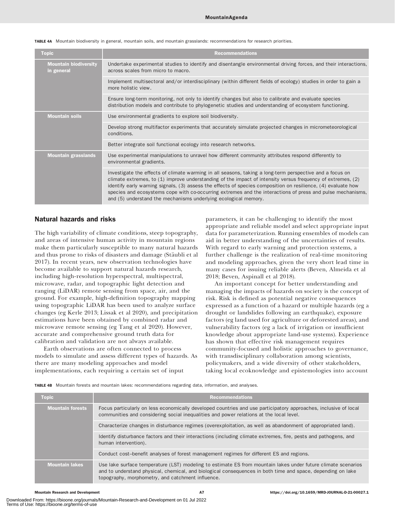| <b>Topic</b>                               | <b>Recommendations</b>                                                                                                                                                                                                                                                                                                                                                                                                                                                                                                    |
|--------------------------------------------|---------------------------------------------------------------------------------------------------------------------------------------------------------------------------------------------------------------------------------------------------------------------------------------------------------------------------------------------------------------------------------------------------------------------------------------------------------------------------------------------------------------------------|
| <b>Mountain biodiversity</b><br>in general | Undertake experimental studies to identify and disentangle environmental driving forces, and their interactions,<br>across scales from micro to macro.                                                                                                                                                                                                                                                                                                                                                                    |
|                                            | Implement multisectoral and/or interdisciplinary (within different fields of ecology) studies in order to gain a<br>more holistic view.                                                                                                                                                                                                                                                                                                                                                                                   |
|                                            | Ensure long-term monitoring, not only to identify changes but also to calibrate and evaluate species<br>distribution models and contribute to phylogenetic studies and understanding of ecosystem functioning.                                                                                                                                                                                                                                                                                                            |
| <b>Mountain soils</b>                      | Use environmental gradients to explore soil biodiversity.                                                                                                                                                                                                                                                                                                                                                                                                                                                                 |
|                                            | Develop strong multifactor experiments that accurately simulate projected changes in micrometeorological<br>conditions.                                                                                                                                                                                                                                                                                                                                                                                                   |
|                                            | Better integrate soil functional ecology into research networks.                                                                                                                                                                                                                                                                                                                                                                                                                                                          |
| <b>Mountain grasslands</b>                 | Use experimental manipulations to unravel how different community attributes respond differently to<br>environmental gradients.                                                                                                                                                                                                                                                                                                                                                                                           |
|                                            | Investigate the effects of climate warming in all seasons, taking a long-term perspective and a focus on<br>climate extremes, to (1) improve understanding of the impact of intensity versus frequency of extremes, (2)<br>identify early warning signals, (3) assess the effects of species composition on resilience, (4) evaluate how<br>species and ecosystems cope with co-occurring extremes and the interactions of press and pulse mechanisms,<br>and (5) understand the mechanisms underlying ecological memory. |

TABLE 4A Mountain biodiversity in general, mountain soils, and mountain grasslands: recommendations for research priorities.

#### Natural hazards and risks

The high variability of climate conditions, steep topography, and areas of intensive human activity in mountain regions make them particularly susceptible to many natural hazards and thus prone to risks of disasters and damage (Stäubli et al 2017). In recent years, new observation technologies have become available to support natural hazards research, including high-resolution hyperspectral, multispectral, microwave, radar, and topographic light detection and ranging (LiDAR) remote sensing from space, air, and the ground. For example, high-definition topography mapping using topographic LiDAR has been used to analyze surface changes (eg Kerle 2013; Lissak et al 2020), and precipitation estimations have been obtained by combined radar and microwave remote sensing (eg Tang et al 2020). However, accurate and comprehensive ground truth data for calibration and validation are not always available.

Earth observations are often connected to process models to simulate and assess different types of hazards. As there are many modeling approaches and model implementations, each requiring a certain set of input

parameters, it can be challenging to identify the most appropriate and reliable model and select appropriate input data for parameterization. Running ensembles of models can aid in better understanding of the uncertainties of results. With regard to early warning and protection systems, a further challenge is the realization of real-time monitoring and modeling approaches, given the very short lead time in many cases for issuing reliable alerts (Beven, Almeida et al 2018; Beven, Aspinall et al 2018).

An important concept for better understanding and managing the impacts of hazards on society is the concept of risk. Risk is defined as potential negative consequences expressed as a function of a hazard or multiple hazards (eg a drought or landslides following an earthquake), exposure factors (eg land used for agriculture or deforested areas), and vulnerability factors (eg a lack of irrigation or insufficient knowledge about appropriate land-use systems). Experience has shown that effective risk management requires community-focused and holistic approaches to governance, with transdisciplinary collaboration among scientists, policymakers, and a wide diversity of other stakeholders, taking local ecoknowledge and epistemologies into account

TABLE 4B Mountain forests and mountain lakes: recommendations regarding data, information, and analyses.

| <b>Topic</b>            | <b>Recommendations</b>                                                                                                                                                                                                                                                            |
|-------------------------|-----------------------------------------------------------------------------------------------------------------------------------------------------------------------------------------------------------------------------------------------------------------------------------|
| <b>Mountain forests</b> | Focus particularly on less economically developed countries and use participatory approaches, inclusive of local<br>communities and considering social inequalities and power relations at the local level.                                                                       |
|                         | Characterize changes in disturbance regimes (overexploitation, as well as abandonment of appropriated land).                                                                                                                                                                      |
|                         | Identify disturbance factors and their interactions (including climate extremes, fire, pests and pathogens, and<br>human intervention).                                                                                                                                           |
|                         | Conduct cost-benefit analyses of forest management regimes for different ES and regions.                                                                                                                                                                                          |
| <b>Mountain lakes</b>   | Use lake surface temperature (LST) modeling to estimate ES from mountain lakes under future climate scenarios<br>and to understand physical, chemical, and biological consequences in both time and space, depending on lake<br>topography, morphometry, and catchment influence. |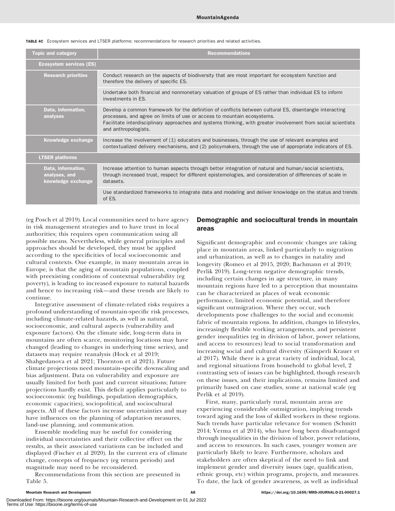TABLE 4C Ecosystem services and LTSER platforms: recommendations for research priorities and related activities.

| <b>Topic and category</b>                                 | <b>Recommendations</b>                                                                                                                                                                                                                                                                                                      |
|-----------------------------------------------------------|-----------------------------------------------------------------------------------------------------------------------------------------------------------------------------------------------------------------------------------------------------------------------------------------------------------------------------|
| <b>Ecosystem services (ES)</b>                            |                                                                                                                                                                                                                                                                                                                             |
| <b>Research priorities</b>                                | Conduct research on the aspects of biodiversity that are most important for ecosystem function and<br>therefore the delivery of specific ES.                                                                                                                                                                                |
|                                                           | Undertake both financial and nonmonetary valuation of groups of ES rather than individual ES to inform<br>investments in ES.                                                                                                                                                                                                |
| Data, information,<br>analyses                            | Develop a common framework for the definition of conflicts between cultural ES, disentangle interacting<br>processes, and agree on limits of use or access to mountain ecosystems.<br>Facilitate interdisciplinary approaches and systems thinking, with greater involvement from social scientists<br>and anthropologists. |
| Knowledge exchange                                        | Increase the involvement of (1) educators and businesses, through the use of relevant examples and<br>contextualized delivery mechanisms, and (2) policymakers, through the use of appropriate indicators of ES.                                                                                                            |
| <b>LTSER platforms</b>                                    |                                                                                                                                                                                                                                                                                                                             |
| Data, information,<br>analyses, and<br>knowledge exchange | Increase attention to human aspects through better integration of natural and human/social scientists,<br>through increased trust, respect for different epistemologies, and consideration of differences of scale in<br>datasets.                                                                                          |
|                                                           | Use standardized frameworks to integrate data and modeling and deliver knowledge on the status and trends<br>of ES.                                                                                                                                                                                                         |

(eg Posch et al 2019). Local communities need to have agency in risk management strategies and to have trust in local authorities; this requires open communication using all possible means. Nevertheless, while general principles and approaches should be developed, they must be applied according to the specificities of local socioeconomic and cultural contexts. One example, in many mountain areas in Europe, is that the aging of mountain populations, coupled with preexisting conditions of contextual vulnerability (eg poverty), is leading to increased exposure to natural hazards and hence to increasing risk—and these trends are likely to continue.

Integrative assessment of climate-related risks requires a profound understanding of mountain-specific risk processes, including climate-related hazards, as well as natural, socioeconomic, and cultural aspects (vulnerability and exposure factors). On the climate side, long-term data in mountains are often scarce, monitoring locations may have changed (leading to changes in underlying time series), and datasets may require reanalysis (Hock et al 2019; Shahgedanova et al 2021; Thornton et al 2021). Future climate projections need mountain-specific downscaling and bias adjustment. Data on vulnerability and exposure are usually limited for both past and current situations; future projections hardly exist. This deficit applies particularly to socioeconomic (eg buildings, population demographics, economic capacities), sociopolitical, and sociocultural aspects. All of these factors increase uncertainties and may have influences on the planning of adaptation measures, land-use planning, and communication.

Ensemble modeling may be useful for considering individual uncertainties and their collective effect on the results, as their associated variations can be included and displayed (Fischer et al 2020). In the current era of climate change, concepts of frequency (eg return periods) and magnitude may need to be reconsidered.

Recommendations from this section are presented in Table 5.

#### Demographic and sociocultural trends in mountain areas

Significant demographic and economic changes are taking place in mountain areas, linked particularly to migration and urbanization, as well as to changes in natality and longevity (Romeo et al 2015, 2020; Bachmann et al 2019; Perlik 2019). Long-term negative demographic trends, including certain changes in age structure, in many mountain regions have led to a perception that mountains can be characterized as places of weak economic performance, limited economic potential, and therefore significant outmigration. Where they occur, such developments pose challenges to the social and economic fabric of mountain regions. In addition, changes in lifestyles, increasingly flexible working arrangements, and persistent gender inequalities (eg in division of labor, power relations, and access to resources) lead to social transformation and increasing social and cultural diversity (Gämperli Krauer et al 2017). While there is a great variety of individual, local, and regional situations from household to global level, 2 contrasting sets of issues can be highlighted, though research on these issues, and their implications, remains limited and primarily based on case studies, some at national scale (eg Perlik et al 2019).

First, many, particularly rural, mountain areas are experiencing considerable outmigration, implying trends toward aging and the loss of skilled workers in these regions. Such trends have particular relevance for women (Schmitt 2014; Verma et al 2014), who have long been disadvantaged through inequalities in the division of labor, power relations, and access to resources. In such cases, younger women are particularly likely to leave. Furthermore, scholars and stakeholders are often skeptical of the need to link and implement gender and diversity issues (age, qualification, ethnic group, etc) within programs, projects, and measures. To date, the lack of gender awareness, as well as individual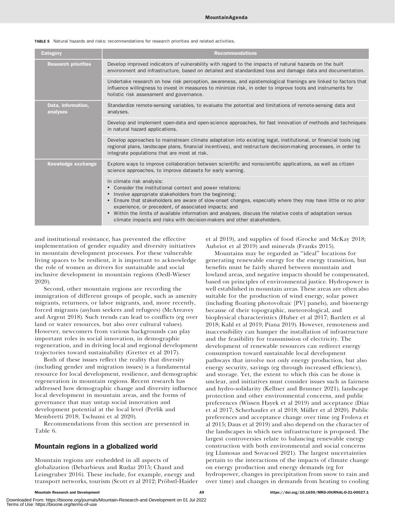TABLE 5 Natural hazards and risks: recommendations for research priorities and related activities.

| Category                       | <b>Recommendations</b>                                                                                                                                                                                                                                                                                                                                                                                                                                                                                                                |
|--------------------------------|---------------------------------------------------------------------------------------------------------------------------------------------------------------------------------------------------------------------------------------------------------------------------------------------------------------------------------------------------------------------------------------------------------------------------------------------------------------------------------------------------------------------------------------|
| <b>Research priorities</b>     | Develop improved indicators of vulnerability with regard to the impacts of natural hazards on the built<br>environment and infrastructure, based on detailed and standardized loss and damage data and documentation.                                                                                                                                                                                                                                                                                                                 |
|                                | Undertake research on how risk perception, awareness, and epistemological framings are linked to factors that<br>influence willingness to invest in measures to minimize risk, in order to improve tools and instruments for<br>holistic risk assessment and governance.                                                                                                                                                                                                                                                              |
| Data, information,<br>analyses | Standardize remote-sensing variables, to evaluate the potential and limitations of remote-sensing data and<br>analyses.                                                                                                                                                                                                                                                                                                                                                                                                               |
|                                | Develop and implement open-data and open-science approaches, for fast innovation of methods and techniques<br>in natural hazard applications.                                                                                                                                                                                                                                                                                                                                                                                         |
|                                | Develop approaches to mainstream climate adaptation into existing legal, institutional, or financial tools (eg<br>regional plans, landscape plans, financial incentives), and restructure decision-making processes, in order to<br>integrate populations that are most at risk.                                                                                                                                                                                                                                                      |
| Knowledge exchange             | Explore ways to improve collaboration between scientific and nonscientific applications, as well as citizen<br>science approaches, to improve datasets for early warning.                                                                                                                                                                                                                                                                                                                                                             |
|                                | In climate risk analysis:<br>• Consider the institutional context and power relations;<br>Involve appropriate stakeholders from the beginning;<br>$\bullet$<br>Ensure that stakeholders are aware of slow-onset changes, especially where they may have little or no prior<br>experience, or precedent, of associated impacts; and<br>Within the limits of available information and analyses, discuss the relative costs of adaptation versus<br>$\bullet$<br>climate impacts and risks with decision-makers and other stakeholders. |

and institutional resistance, has prevented the effective implementation of gender equality and diversity initiatives in mountain development processes. For these vulnerable living spaces to be resilient, it is important to acknowledge the role of women as drivers for sustainable and social inclusive development in mountain regions (Oedl-Wieser 2020).

Second, other mountain regions are recording the immigration of different groups of people, such as amenity migrants, returnees, or labor migrants, and, more recently, forced migrants (asylum seekers and refugees) (McAreavey and Argent 2018). Such trends can lead to conflicts (eg over land or water resources, but also over cultural values). However, newcomers from various backgrounds can play important roles in social innovation, in demographic regeneration, and in driving local and regional development trajectories toward sustainability (Gretter et al 2017).

Both of these issues reflect the reality that diversity (including gender and migration issues) is a fundamental resource for local development, resilience, and demographic regeneration in mountain regions. Recent research has addressed how demographic change and diversity influence local development in mountain areas, and the forms of governance that may untap social innovation and development potential at the local level (Perlik and Membretti 2018; Tschumi et al 2020).

Recommendations from this section are presented in Table 6.

## Mountain regions in a globalized world

Mountain regions are embedded in all aspects of globalization (Debarbieux and Rudaz 2015; Chand and Leimgruber 2016). These include, for example, energy and transport networks, tourism (Scott et al 2012; Pröbstl-Haider et al 2019), and supplies of food (Grocke and McKay 2018; Aubriot et al 2019) and minerals (Franks 2015).

Mountains may be regarded as ''ideal'' locations for generating renewable energy for the energy transition, but benefits must be fairly shared between mountain and lowland areas, and negative impacts should be compensated, based on principles of environmental justice. Hydropower is well established in mountain areas. These areas are often also suitable for the production of wind energy, solar power (including floating photovoltaic [PV] panels), and bioenergy because of their topographic, meteorological, and biophysical characteristics (Huber et al 2017; Bartlett et al 2018; Kahl et al 2019; Piana 2019). However, remoteness and inaccessibility can hamper the installation of infrastructure and the feasibility for transmission of electricity. The development of renewable resources can redirect energy consumption toward sustainable local development pathways that involve not only energy production, but also energy security, savings (eg through increased efficiency), and storage. Yet, the extent to which this can be done is unclear, and initiatives must consider issues such as fairness and hydro-solidarity (Kellner and Brunner 2021), landscape protection and other environmental concerns, and public preferences (Wissen Hayek et al 2019) and acceptance (Díaz et al 2017; Scherhaufer et al 2018; Müller et al 2020). Public preferences and acceptance change over time (eg Frolova et al 2015; Daus et al 2019) and also depend on the character of the landscapes in which new infrastructure is proposed. The largest controversies relate to balancing renewable energy construction with both environmental and social concerns (eg Llamosas and Sovacool 2021). The largest uncertainties pertain to the interactions of the impacts of climate change on energy production and energy demands (eg for hydropower, changes in precipitation from snow to rain and over time) and changes in demands from heating to cooling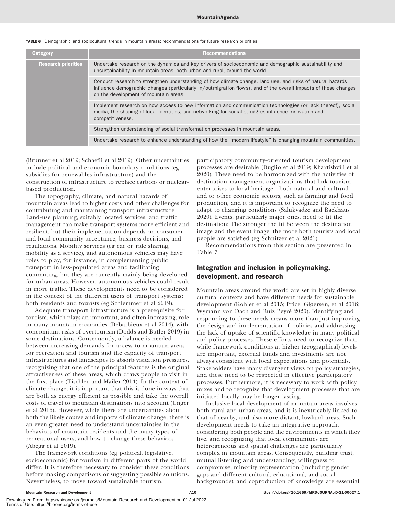| Category                   | <b>Recommendations</b>                                                                                                                                                                                                                                                 |
|----------------------------|------------------------------------------------------------------------------------------------------------------------------------------------------------------------------------------------------------------------------------------------------------------------|
| <b>Research priorities</b> | Undertake research on the dynamics and key drivers of socioeconomic and demographic sustainability and<br>unsustainability in mountain areas, both urban and rural, around the world.                                                                                  |
|                            | Conduct research to strengthen understanding of how climate change, land use, and risks of natural hazards<br>influence demographic changes (particularly in/outmigration flows), and of the overall impacts of these changes<br>on the development of mountain areas. |
|                            | Implement research on how access to new information and communication technologies (or lack thereof), social<br>media, the shaping of local identities, and networking for social struggles influence innovation and<br>competitiveness.                               |
|                            | Strengthen understanding of social transformation processes in mountain areas.                                                                                                                                                                                         |
|                            | Undertake research to enhance understanding of how the "modern lifestyle" is changing mountain communities.                                                                                                                                                            |

TABLE 6 Demographic and sociocultural trends in mountain areas: recommendations for future research priorities.

(Brunner et al 2019; Schaefli et al 2019). Other uncertainties include political and economic boundary conditions (eg subsidies for renewables infrastructure) and the construction of infrastructure to replace carbon- or nuclearbased production.

The topography, climate, and natural hazards of mountain areas lead to higher costs and other challenges for contributing and maintaining transport infrastructure. Land-use planning, suitably located services, and traffic management can make transport systems more efficient and resilient, but their implementation depends on consumer and local community acceptance, business decisions, and regulations. Mobility services (eg car or ride sharing, mobility as a service), and autonomous vehicles may have roles to play, for instance, in complementing public transport in less-populated areas and facilitating commuting, but they are currently mainly being developed for urban areas. However, autonomous vehicles could result in more traffic. These developments need to be considered in the context of the different users of transport systems: both residents and tourists (eg Schlemmer et al 2019).

Adequate transport infrastructure is a prerequisite for tourism, which plays an important, and often increasing, role in many mountain economies (Debarbieux et al 2014), with concomitant risks of overtourism (Dodds and Butler 2019) in some destinations. Consequently, a balance is needed between increasing demands for access to mountain areas for recreation and tourism and the capacity of transport infrastructures and landscapes to absorb visitation pressures, recognizing that one of the principal features is the original attractiveness of these areas, which draws people to visit in the first place (Tischler and Mailer 2014). In the context of climate change, it is important that this is done in ways that are both as energy efficient as possible and take the overall costs of travel to mountain destinations into account (Unger et al 2016). However, while there are uncertainties about both the likely course and impacts of climate change, there is an even greater need to understand uncertainties in the behaviors of mountain residents and the many types of recreational users, and how to change these behaviors (Abegg et al 2019).

The framework conditions (eg political, legislative, socioeconomic) for tourism in different parts of the world differ. It is therefore necessary to consider these conditions before making comparisons or suggesting possible solutions. Nevertheless, to move toward sustainable tourism,

participatory community-oriented tourism development processes are desirable (Duglio et al 2019; Khartishvili et al 2020). These need to be harmonized with the activities of destination management organizations that link tourism enterprises to local heritage—both natural and cultural and to other economic sectors, such as farming and food production, and it is important to recognize the need to adapt to changing conditions (Salukvadze and Backhaus 2020). Events, particularly major ones, need to fit the destination: The stronger the fit between the destination image and the event image, the more both tourists and local people are satisfied (eg Schnitzer et al 2021).

Recommendations from this section are presented in Table 7.

## Integration and inclusion in policymaking, development, and research

Mountain areas around the world are set in highly diverse cultural contexts and have different needs for sustainable development (Kohler et al 2015; Price, Gløersen, et al 2016; Wymann von Dach and Ruiz Peyré 2020). Identifying and responding to these needs means more than just improving the design and implementation of policies and addressing the lack of uptake of scientific knowledge in many political and policy processes. These efforts need to recognize that, while framework conditions at higher (geographical) levels are important, external funds and investments are not always consistent with local expectations and potentials. Stakeholders have many divergent views on policy strategies, and these need to be respected in effective participatory processes. Furthermore, it is necessary to work with policy mixes and to recognize that development processes that are initiated locally may be longer lasting.

Inclusive local development of mountain areas involves both rural and urban areas, and it is inextricably linked to that of nearby, and also more distant, lowland areas. Such development needs to take an integrative approach, considering both people and the environments in which they live, and recognizing that local communities are heterogeneous and spatial challenges are particularly complex in mountain areas. Consequently, building trust, mutual listening and understanding, willingness to compromise, minority representation (including gender gaps and different cultural, educational, and social backgrounds), and coproduction of knowledge are essential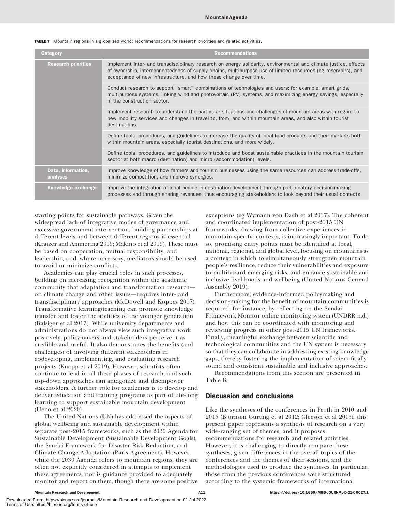TABLE 7 Mountain regions in a globalized world: recommendations for research priorities and related activities.

| Category                       | <b>Recommendations</b>                                                                                                                                                                                                                                                                                 |
|--------------------------------|--------------------------------------------------------------------------------------------------------------------------------------------------------------------------------------------------------------------------------------------------------------------------------------------------------|
| <b>Research priorities</b>     | Implement inter- and transdisciplinary research on energy solidarity, environmental and climate justice, effects<br>of ownership, interconnectedness of supply chains, multipurpose use of limited resources (eg reservoirs), and<br>acceptance of new infrastructure, and how these change over time. |
|                                | Conduct research to support "smart" combinations of technologies and users: for example, smart grids,<br>multipurpose systems, linking wind and photovoltaic (PV) systems, and maximizing energy savings, especially<br>in the construction sector.                                                    |
|                                | Implement research to understand the particular situations and challenges of mountain areas with regard to<br>new mobility services and changes in travel to, from, and within mountain areas, and also within tourist<br>destinations.                                                                |
|                                | Define tools, procedures, and guidelines to increase the quality of local food products and their markets both<br>within mountain areas, especially tourist destinations, and more widely.                                                                                                             |
|                                | Define tools, procedures, and guidelines to introduce and boost sustainable practices in the mountain tourism<br>sector at both macro (destination) and micro (accommodation) levels.                                                                                                                  |
| Data, information,<br>analyses | Improve knowledge of how farmers and tourism businesses using the same resources can address trade-offs,<br>minimize competition, and improve synergies.                                                                                                                                               |
| Knowledge exchange             | Improve the integration of local people in destination development through participatory decision-making<br>processes and through sharing revenues, thus encouraging stakeholders to look beyond their usual contexts.                                                                                 |

starting points for sustainable pathways. Given the widespread lack of integrative modes of governance and excessive government intervention, building partnerships at different levels and between different regions is essential (Kratzer and Ammering 2019; Makino et al 2019). These must be based on cooperation, mutual responsibility, and leadership, and, where necessary, mediators should be used to avoid or minimize conflicts.

Academics can play crucial roles in such processes, building on increasing recognition within the academic community that adaptation and transformation research on climate change and other issues—requires inter- and transdisciplinary approaches (McDowell and Koppes 2017). Transformative learning/teaching can promote knowledge transfer and foster the abilities of the younger generation (Balsiger et al 2017). While university departments and administrations do not always view such integrative work positively, policymakers and stakeholders perceive it as credible and useful. It also demonstrates the benefits (and challenges) of involving different stakeholders in codeveloping, implementing, and evaluating research projects (Knapp et al 2019). However, scientists often continue to lead in all these phases of research, and such top-down approaches can antagonize and disempower stakeholders. A further role for academics is to develop and deliver education and training programs as part of life-long learning to support sustainable mountain development (Ueno et al 2020).

The United Nations (UN) has addressed the aspects of global wellbeing and sustainable development within separate post-2015 frameworks, such as the 2030 Agenda for Sustainable Development (Sustainable Development Goals), the Sendai Framework for Disaster Risk Reduction, and Climate Change Adaptation (Paris Agreement). However, while the 2030 Agenda refers to mountain regions, they are often not explicitly considered in attempts to implement these agreements, nor is guidance provided to adequately monitor and report on them, though there are some positive

exceptions (eg Wymann von Dach et al 2017). The coherent and coordinated implementation of post-2015 UN frameworks, drawing from collective experiences in mountain-specific contexts, is increasingly important. To do so, promising entry points must be identified at local, national, regional, and global level, focusing on mountains as a context in which to simultaneously strengthen mountain people's resilience, reduce their vulnerabilities and exposure to multihazard emerging risks, and enhance sustainable and inclusive livelihoods and wellbeing (United Nations General Assembly 2019).

Furthermore, evidence-informed policymaking and decision-making for the benefit of mountain communities is required, for instance, by reflecting on the Sendai Framework Monitor online monitoring system (UNDRR n.d.) and how this can be coordinated with monitoring and reviewing progress in other post-2015 UN frameworks. Finally, meaningful exchange between scientific and technological communities and the UN system is necessary so that they can collaborate in addressing existing knowledge gaps, thereby fostering the implementation of scientifically sound and consistent sustainable and inclusive approaches.

Recommendations from this section are presented in Table 8.

## Discussion and conclusions

Like the syntheses of the conferences in Perth in 2010 and  $2015$  (Björnsen Gurung et al  $2012$ ; Gleeson et al  $2016$ ), this present paper represents a synthesis of research on a very wide-ranging set of themes, and it proposes recommendations for research and related activities. However, it is challenging to directly compare these syntheses, given differences in the overall topics of the conferences and the themes of their sessions, and the methodologies used to produce the syntheses. In particular, those from the previous conferences were structured according to the systemic frameworks of international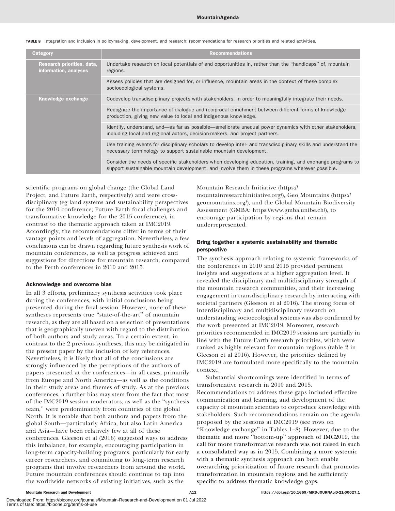| Category                                            | <b>Recommendations</b>                                                                                                                                                                                       |
|-----------------------------------------------------|--------------------------------------------------------------------------------------------------------------------------------------------------------------------------------------------------------------|
| Research priorities, data,<br>information, analyses | Undertake research on local potentials of and opportunities in, rather than the "handicaps" of, mountain<br>regions.                                                                                         |
|                                                     | Assess policies that are designed for, or influence, mountain areas in the context of these complex<br>socioecological systems.                                                                              |
| Knowledge exchange                                  | Codevelop transdisciplinary projects with stakeholders, in order to meaningfully integrate their needs.                                                                                                      |
|                                                     | Recognize the importance of dialogue and reciprocal enrichment between different forms of knowledge<br>production, giving new value to local and indigenous knowledge.                                       |
|                                                     | Identify, understand, and—as far as possible—ameliorate unequal power dynamics with other stakeholders,<br>including local and regional actors, decision-makers, and project partners.                       |
|                                                     | Use training events for disciplinary scholars to develop inter- and transdisciplinary skills and understand the<br>necessary terminology to support sustainable mountain development.                        |
|                                                     | Consider the needs of specific stakeholders when developing education, training, and exchange programs to<br>support sustainable mountain development, and involve them in these programs wherever possible. |

TABLE 8 Integration and inclusion in policymaking, development, and research: recommendations for research priorities and related activities.

scientific programs on global change (the Global Land Project, and Future Earth, respectively) and were crossdisciplinary (eg land systems and sustainability perspectives for the 2010 conference; Future Earth focal challenges and transformative knowledge for the 2015 conference), in contrast to the thematic approach taken at IMC2019. Accordingly, the recommendations differ in terms of their vantage points and levels of aggregation. Nevertheless, a few conclusions can be drawn regarding future synthesis work of mountain conferences, as well as progress achieved and suggestions for directions for mountain research, compared to the Perth conferences in 2010 and 2015.

#### Acknowledge and overcome bias

In all 3 efforts, preliminary synthesis activities took place during the conferences, with initial conclusions being presented during the final session. However, none of these syntheses represents true "state-of-the-art" of mountain research, as they are all based on a selection of presentations that is geographically uneven with regard to the distribution of both authors and study areas. To a certain extent, in contrast to the 2 previous syntheses, this may be mitigated in the present paper by the inclusion of key references. Nevertheless, it is likely that all of the conclusions are strongly influenced by the perceptions of the authors of papers presented at the conferences—in all cases, primarily from Europe and North America—as well as the conditions in their study areas and themes of study. As at the previous conferences, a further bias may stem from the fact that most of the IMC2019 session moderators, as well as the ''synthesis team,'' were predominantly from countries of the global North. It is notable that both authors and papers from the global South—particularly Africa, but also Latin America and Asia—have been relatively few at all of these conferences. Gleeson et al (2016) suggested ways to address this imbalance, for example, encouraging participation in long-term capacity-building programs, particularly for early career researchers, and committing to long-term research programs that involve researchers from around the world. Future mountain conferences should continue to tap into the worldwide networks of existing initiatives, such as the

Mountain Research Initiative [\(https://](https://mountainresearchinitiative.org/) [mountainresearchinitiative.org/](https://mountainresearchinitiative.org/)), Geo Mountains [\(https://](https://geomountains.org/) [geomountains.org/\)](https://geomountains.org/), and the Global Mountain Biodiversity Assessment (GMBA:<https://www.gmba.unibe.ch/>), to encourage participation by regions that remain underrepresented.

#### Bring together a systemic sustainability and thematic perspective

The synthesis approach relating to systemic frameworks of the conferences in 2010 and 2015 provided pertinent insights and suggestions at a higher aggregation level. It revealed the disciplinary and multidisciplinary strength of the mountain research communities, and their increasing engagement in transdisciplinary research by interacting with societal partners (Gleeson et al 2016). The strong focus of interdisciplinary and multidisciplinary research on understanding socioecological systems was also confirmed by the work presented at IMC2019. Moreover, research priorities recommended in IMC2019 sessions are partially in line with the Future Earth research priorities, which were ranked as highly relevant for mountain regions (table 2 in Gleeson et al 2016). However, the priorities defined by IMC2019 are formulated more specifically to the mountain context.

Substantial shortcomings were identified in terms of transformative research in 2010 and 2015. Recommendations to address these gaps included effective communication and learning, and development of the capacity of mountain scientists to coproduce knowledge with stakeholders. Such recommendations remain on the agenda proposed by the sessions at IMC2019 (see rows on ''Knowledge exchange'' in Tables 1–8). However, due to the thematic and more ''bottom-up'' approach of IMC2019, the call for more transformative research was not raised in such a consolidated way as in 2015. Combining a more systemic with a thematic synthesis approach can both enable overarching prioritization of future research that promotes transformation in mountain regions and be sufficiently specific to address thematic knowledge gaps.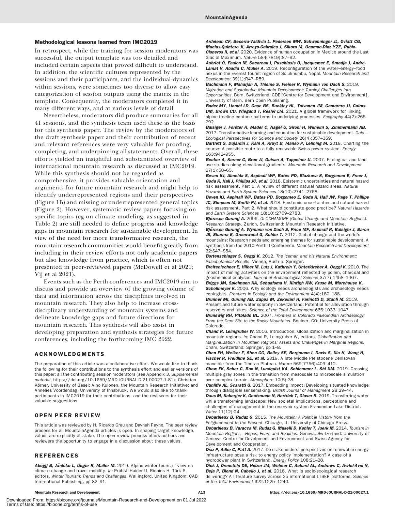#### Methodological lessons learned from IMC2019

In retrospect, while the training for session moderators was successful, the output template was too detailed and included certain aspects that proved difficult to understand. In addition, the scientific cultures represented by the sessions and their participants, and the individual dynamics within sessions, were sometimes too diverse to allow easy categorization of session outputs using the matrix in the template. Consequently, the moderators completed it in many different ways, and at various levels of detail.

Nevertheless, moderators did produce summaries for all 41 sessions, and the synthesis team used these as the basis for this synthesis paper. The review by the moderators of the draft synthesis paper and their contribution of recent and relevant references were very valuable for proofing, completing, and underpinning all statements. Overall, these efforts yielded an insightful and substantiated overview of international mountain research as discussed at IMC2019. While this synthesis should not be regarded as comprehensive, it provides valuable orientation and arguments for future mountain research and might help to identify underrepresented regions and their perspectives (Figure 1B) and missing or underrepresented general topics (Figure 2). However, systematic review papers focusing on specific topics (eg on climate modeling, as suggested in Table 2) are still needed to define progress and knowledge gaps in mountain research for sustainable development. In view of the need for more transformative research, the mountain research communities would benefit greatly from including in their review efforts not only academic papers but also knowledge from practice, which is often not presented in peer-reviewed papers (McDowell et al 2021; Vij et al 2021).

Events such as the Perth conferences and IMC2019 aim to discuss and provide an overview of the growing volume of data and information across the disciplines involved in mountain research. They also help to increase crossdisciplinary understanding of mountain systems and delineate knowledge gaps and future directions for mountain research. This synthesis will also assist in developing preparation and synthesis strategies for future conferences, including the forthcoming IMC 2022.

#### ACKNOWLEDGMENTS

The preparation of this article was a collaborative effort. We would like to thank the following for their contributions to the synthesis effort and earlier versions of this paper: all the contributing session moderators (see Appendix 3, Supplemental material, [https://doi.org/10.1659/MRD-JOURNAL-D-21-00027.1.S1\)](https://doi.org/10.1659/MRD-JOURNAL-D-21-00027.1.S1); Christian Körner, University of Basel; Aino Kulonen, the Mountain Research Initiative; and Annelies Voordendag, University of Innsbruck. We would also like to thank participants in IMC2019 for their contributions, and the reviewers for their valuable suggestions.

#### OPEN PEER REVIEW

This article was reviewed by H. Ricardo Grau and Davnah Payne. The peer review process for all MountainAgenda articles is open. In shaping target knowledge, values are explicitly at stake. The open review process offers authors and reviewers the opportunity to engage in a discussion about these values.

#### REFERENCES

Abegg B, Jänicke L, Unger R, Mailer M. 2019. Alpine winter tourists' view on climate change and travel mobility. In: Pröbstl-Haider U, Richins H, Türk S, editors. Winter Tourism: Trends and Challenges. Wallingford, United Kingdom: CAB International Publishing, pp 82–91.

Ardelean CF, Becerra-Valdivia L, Pedersen MW, Schwenninger JL, Oviatt CG, Macias-Quintero JI, Arroyo-Cabrales J, Sikora M, Ocampo-Diaz YZE, Rubio-Cisneros II, et al. 2020. Evidence of human occupation in Mexico around the Last Glacial Maximum. Nature 584(7819):87–92.

Aubriot O, Faulon M, Sacareau I, Puschiasis O, Jacquemet E, Smadja J, Andre-Lamat V, Abadia C, Muller A. 2019. Reconfiguration of the water-energy-food nexus in the Everest tourist region of Solukhumbu, Nepal. Mountain Research and Development 39(1):R47–R59.

Bachmann F, Maharjan A, Thieme S, Fleiner R, Wymann von Dach S. 2019. Migration and Sustainable Mountain Development: Turning Challenges into Opportunities. Bern, Switzerland: CDE [Centre for Development and Environment], University of Bern, Bern Open Publishing.

Bader MY, Llambi LD, Case BS, Buckley HL, Toivonen JM, Camarero JJ, Cairns DM, Brown CD, Wiegand T, Resler LM. 2021. A global framework for linking alpine-treeline ecotone patterns to underlying processes. Ecography 44(2):265– 292.

Balsiger J, Forster R, Mader C, Nagel U, Sironi H, Wilhelm S, Zimmermann AB. 2017. Transformative learning and education for sustainable development. Gaia-Ecological Perspectives for Science and Society 26(4):357–359.

Bartlett S, Dujardin J, Kahl A, Kruyt B, Manso P, Lehning M. 2018. Charting the course: A possible route to a fully renewable Swiss power system. Energy 163:942–955.

Becker A, Korner C, Brun JJ, Guisan A, Tappeiner U. 2007. Ecological and land use studies along elevational gradients. Mountain Research and Development 27(1):58–65.

Beven KJ, Almeida S, Aspinall WP, Bates PD, Blazkova S, Borgomeo E, Freer J, Goda K, Hall J, Phillips JC, et al. 2018. Epistemic uncertainties and natural hazard risk assessment. Part 1. A review of different natural hazard areas. Natural Hazards and Earth System Sciences 18(10):2741–2768.

Beven KJ, Aspinall WP, Bates PD, Borgomeo E, Goda K, Hall JW, Page T, Phillips JC, Simpson M, Smith PJ, et al. 2018. Epistemic uncertainties and natural hazard risk assessment. Part 2. What should constitute good practice? Natural Hazards and Earth System Sciences 18(10):2769–2783.

Björnsen Gurung A. 2006. GLOCHAMORE (Global Change and Mountain Regions). Research Strategy. Zurich, Switzerland: Mountain Research Initiative.

Björnsen Gurung A, Wymann von Dach S, Price MF, Aspinall R, Balsiger J, Baron JS, Sharma E, Greenwood G, Kohler T. 2012. Global change and the world's

mountains: Research needs and emerging themes for sustainable development. A synthesis from the 2010 Perth II Conference. Mountain Research and Development 32:S47–S54.

Bortenschlager S, Oeggl K. 2012. The Iceman and his Natural Environment: Paleobotanical Results. Vienna, Austria: Springer.

Breitenlechner E, Hilber M, Lutz J, Kathrein Y, Unterkircher A, Oeggl K. 2010. The impact of mining activities on the environment reflected by pollen, charcoal and geochemical analyses. Journal of Archaeological Science 37(7):1458–1467. Briggs JM, Spielmann KA, Schaafsma H, Kintigh KW, Kruse M, Morehouse K,

Schollmeyer K. 2006. Why ecology needs archaeologists and archaeology needs ecologists. Frontiers in Ecology and the Environment 4(4):180–188.

Brunner MI, Gurung AB, Zappa M, Zekollari H, Farinotti D, Stahli M. 2019. Present and future water scarcity in Switzerland: Potential for alleviation through reservoirs and lakes. Science of the Total Environment 666:1033–1047.

Brunswig RH, Pitblado BL. 2007. Frontiers in Colorado Paleoindian Archaeology: From the Dent Site to the Rocky Mountains. Boulder, CO: University Press of Colorado.

Chand R, Leimgruber W. 2016. Introduction: Globalization and marginalization in mountain regions. In: Chand R, Leimgruber W, editors. Globalization and Marginalization in Mountain Regions: Assets and Challenges in Marginal Regions. Cham, Switzerland: Springer, pp 1–8.

Chen FH, Welker F, Shen CC, Bailey SE, Bergmann I, Davis S, Xia H, Wang H, Fischer R, Freidline SE, et al. 2019. A late Middle Pleistocene Denisovan mandible from the Tibetan Plateau. Nature 569(7756):409–412.

Chow FK, Schar C, Ban N, Lundquist KA, Schlemmer L, Shi XM. 2019. Crossing multiple gray zones in the transition from mesoscale to microscale simulation over complex terrain. Atmosphere 10(5):38.

**Cunliffe AL, Scaratti G.** 2017. Embedding impact: Developing situated knowledge through dialogical sensemaking. British Journal of Managment 28:29–44. Daus M. Koberger K, Gnutzmann N, Hertrich T, Glaser R, 2019. Transferring water while transforming landscape: New societal implications, perceptions and challenges of management in the reservoir system Franconian Lake District. Water 11(12):24.

Debarbieux B, Rudaz G. 2015. The Mountain: A Political History from the Enlightenment to the Present. Chicago, IL: University of Chicago Press. Debarbieux B, Varacca M, Rudaz G, Maselli D, Kohler T, Juerk M. 2014. Tourism in Mountain Regions—Hopes, Fears and Realities. Geneva, Switzerland: University of Geneva, Centre for Develpment and Environment and Swiss Agency for Development and Cooperation.

Díaz P, Adler C, Patt A. 2017. Do stakeholders' perspectives on renewable energy infrastructure pose a risk to energy policy implementation? A case of a hydropower plant in Switzerland. Energy Policy 108:21–28.

Dick J, Orenstein DE, Holzer JM, Wohner C, Achard AL, Andrews C, Avriel-Avni N, Beja P, Blond N, Cabello J, et al. 2018. What is socio-ecological research delivering? A literature survey across 25 international LTSER platforms. Science of the Total Environment 622:1225–1240.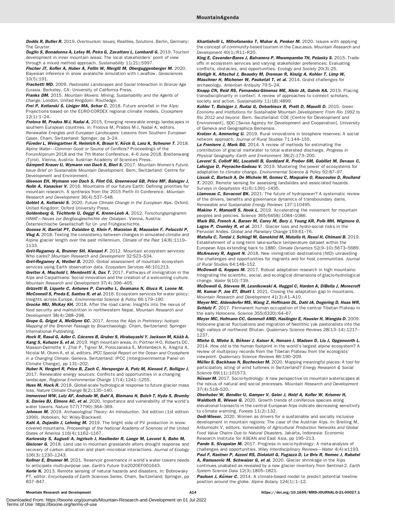**Dodds R. Butler R.** 2019. Overtourism: Issues. Realities. Solutions. Berlin. Germany: The Gruyter.

Duglio S, Bonadonna A, Letey M, Peira G, Zavattaro L, Lombardi G. 2019. Tourism development in inner mountain areas: The local stakeholders' point of view through a mixed method approach. Sustainability 11(21):5997.

Fischer JT, Kofler A, Huber A, Fellin W, Mergili M, Oberguggenberger M. 2020. Bayesian inference in snow avalanche simulation with r.avaflow. Geosciences 10(5):191.

Frachetti MD. 2009. Pastoralist Landscapes and Social Interaction in Bronze Age Eurasia. Berkeley, CA: University of California Press.

Franks DM. 2015. Mountain Movers: Mining, Sustainability and the Agents of Change. London, United Kingdom: Routledge.

Frei P, Kotlarski S, Liniger MA, Schar C. 2018. Future snowfall in the Alps: Projections based on the EURO-CORDEX regional climate models. Cryosphere 12(1):1–24.

Frolova M, Prados M-J, Nadai A. 2015. Emerging renewable energy landscapes in southern European countries. In: Frolova M, Prados M-J, Nadaï A, editors. Renewable Energies and European Landscapes: Lessons from Southern European

Cases. Cham, Switzerland: Springer, pp 3–24. Füreder L, Weingartner R, Heinrich K, Braun V, Köck G, Lanz K, Scheurer T, 2018.

Alpine Water—Common Good or Source of Conflicts? Proceedings of the ForumAlpinum 2018 and the 7th Water Conference, 4–6 June 2018, Breitenwang

(Tyrol). Vienna, Austria: Austrian Academy of Sciences Press. Gämperli Krauer U, Wymann von Dach S, Bieri S. 2017. Mountain Women's Future. Issue Brief on Sustainable Mountain Development. Bern, Switzerland: Centre for Development and Environment.

Gleeson EH, Wymann von Dach S, Flint CG, Greenwood GB, Price MF, Balsiger J, Nolin A, Vanacker V. 2016. Mountains of our future Earth: Defining priorities for mountain research. A synthesis from the 2015 Perth III Conference. Mountain

Research and Development 36(4):537–548. Gobiet A, Kotlarski S. 2020. Future Climate Change in the European Alps. Oxford, United Kingdom: Oxford University Press.

Goldenberg G, Töchterle U, Oeggl K, Krenn-Leeb A. 2012. Forschungsprogramm HiMAT—Neues zur Bergbaugeschichte der Ostalpen. Vienna, Austria: Österreichische Gesellschaft für Ur- und Frühgeschichte.

Goosse H, Barriat PY, Dalaiden Q, Klein F, Marzeion B, Maussion F, Pelucchi P, Vlug A. 2018. Testing the consistency between changes in simulated climate and Alpine glacier length over the past millennium. Climate of the Past 14(8):1119– 1133.

Grêt-Regamey A, Brunner SH, Kienast F. 2012. Mountain ecosystem services: Who cares? Mountain Research and Development 32:S23–S34.

Grêt-Regamey A, Weibel B. 2020. Global assessment of mountain ecosystem services using Earth observation data. Ecosystem Services 46:101213.

Gretter A, Machold I, Membretti A, Dax T. 2017. Pathways of immigration in the Alps and Carpathians: Social innovation and the creation of a welcoming culture. Mountain Research and Development 37(4):396–405.

Grizzetti B, Liquete C, Antunes P, Carvalho L, Geamana N, Giuca R, Leone M, McConnell S, Preda E, Santos R, et al. 2016. Ecosystem services for water policy: Insights across Europe. Environmental Science & Policy 66:179–190.

Grocke MU, McKay KH. 2018. After the road came: Insights into the nexus of food security and malnutrition in northwestern Nepal. Mountain Research and Development 38(4):288–298.

Grupe G, Grigat A, McGlynn GC. 2017. Across the Alps in Prehistory: Isotopic Mapping of the Brenner Passage by Bioarchaeology. Cham, Switzerland: Springer International Publishing.

Hock R, Rasul G, Adler C, Cáceres B, Gruber S, Hirabayashi Y, Jackson M, Kääb A, Kang S, Kutuzov S, et al. 2019. High mountain areas. In: Pörtner H-O, Roberts DC, Masson-Delmotte V, Zhai P, Tignor M, Poloczanska E, Mintenbeck K, Alegría A, Nicolai M, Okem A, et al, editors. IPCC Special Report on the Ocean and Cryosphere in a Changing Climate. Geneva, Switzerland: IPCC [Intergovernmental Panel on Climate Change], pp 131–202.

Huber N, Hergert R, Price B, Zach C, Hersperger A, Putz M, Kienast F, Bolliger J. 2017. Renewable energy sources: Conflicts and opportunities in a changing landscape. Regional Environmental Change 17(4):1241–1255.

Huss M, Hock R. 2018. Global-scale hydrological response to future glacier mass loss. Nature Climate Change 8(2):135–140.

Immerzeel WW, Lutz AF, Andrade M, Bahl A, Biemans H, Bolch T, Hyde S, Brumby S. Davies BJ, Elmore AC, et al. 2020. Importance and vulnerability of the world's water towers. Nature 577(7790):364–369.

Johnson M. 2019. Archaeological Theory: An Introduction. 3rd edition (1st edition 1999). Hoboken, NJ: Wiley-Blackwell.

Kahl A, Dujardin J, Lehning M. 2019. The bright side of PV production in snowcovered mountains. Proceedings of the National Academy of Sciences of the United States of America 116(4):1162–1167.

Karlowsky S, Augusti A, Ingrisch J, Hasibeder R, Lange M, Lavorel S, Bahn M, Gleixner G. 2018. Land use in mountain grasslands alters drought response and recovery of carbon allocation and plant–microbial interactions. Journal of Ecology 106(3):1230–1243.

Kellner E, Brunner M. 2021. Reservoir governance in world's water towers needs to anticipate multi-purpose use. Earth's Future 9:e2020EF001643.

Kerle N. 2013. Remote sensing of natural hazards and disasters. In: Bobrowsky PT, editor. Encyclopedia of Earth Sciences Series. Cham, Switzerland: Springer, pp 837–847.

Khartishvili L. Mitrofanenko T. Muhar A. Penker M. 2020. Issues with applying the concept of community-based tourism in the Caucasus. Mountain Research and Development 40(1):R11–R20.

King E, Cavender-Bares J, Balvanera P, Mwampamba TH, Polasky S. 2015. Tradeoffs in ecosystem services and varying stakeholder preferences: Evaluating conflicts, obstacles, and opportunities. Ecology and Society 20(3):25.

Kintigh K, Altschul J, Beaudry M, Drennan R, Kinzig A, Kohler T, Limp W, Maschner H, Michener W, Pauketat T, et al. 2014. Grand challenges for archaeology. American Antiquity 79:5–24.

Knapp CN, Reid RS, Fernandez-Gimenez ME, Klein JA, Galvin KA. 2019. Placing transdisciplinarity in context: A review of approaches to connect scholars, society and action. Sustainability 11(18):4899.

Kohler T, Balsiger J, Rudaz G, Debarbieux B, Pratt D, Maselli D. 2015. Green Economy and Institutions for Sustainable Mountain Development: From Rio 1992 to Rio 2012 and beyond. Bern, Swizterland: CDE [Centre for Development and Environment], SDC [Swiss Agency for Development and Cooperation], University of Geneva and Geographica Bernensia.

Kratzer A, Ammering U. 2019. Rural innovations in biosphere reserves: A social network approach. Journal of Rural Studies 71:144–155.

La Frenierre J, Mark BG. 2014. A review of methods for estimating the contribution of glacial meltwater to total watershed discharge. Progress in Physical Geography–Earth and Environment 38(2):173–200.

Lavorel S, Colloff MJ, Locatelli B, Gorddard R, Prober SM, Gabillet M, Devaux C, Laforgue D, Peyrache-Gadeau V. 2019. Mustering the power of ecosystems for adaptation to climate change. Environmental Science & Policy 92:87–97.

Lissak C, Bartsch A, De Michele M, Gomez C, Maquaire O, Raucoules D, Roulland T. 2020. Remote sensing for assessing landslides and associated hazards. Surveys in Geophysics 41(6):1391–1435.

Llamosas C, Sovacool BK. 2021. The future of hydropower? A systematic review of the drivers, benefits and governance dynamics of transboundary dams. Renewable and Sustainable Energy Reviews 137:110495.

**Makino Y. Manuelli S. Hook L.** 2019. Accelerating the movement for mountain peoples and policies. Science 365(6458):1084–1086.

Mark BG, French A, Baraer M, Carey M, Bury J, Young KR, Polk MH, Wigmore O, Lagos P, Crumley R, et al. 2017. Glacier loss and hydro-social risks in the Peruvian Andes. Global and Planetary Change 159:61–76.

Matulla C, Tordai J, Schlogl M, Ganekind M, Matulla H, Ressl H, Chimani B. 2019. Establishment of a long-term lake-surface temperature dataset within the

European Alps extending back to 1880. Climate Dynamics 52(9–10):5673–5689. McAreavey R, Argent N. 2018. New immigration destinations (NID) unravelling the challenges and opportunities for migrants and for host communities. Journal of Rural Studies 64:148–152.

McDowell G, Koppes M. 2017. Robust adaptation research in high mountains: Integrating the scientific, social, and ecological dimensions of glacio-hydrological change. Water 9(10):739.

McDowell G, Stevens M, Lesnikowski A, Huggel C, Harden A, DiBella J, Morecroft M, Kumar P, Joe ET, Bhatt I. 2021. Closing the adaptation gap in mountains. Mountain Research and Development 41(3):A1–A10.

Meyer MC, Aldenderfer MS, Wang Z, Hoffmann DL, Dahl JA, Degering D, Haas WR, Schlutz F. 2017. Permanent human occupation of the central Tibetan Plateau in the early Holocene. Science 355(6320):64–67.

Meyer MC, Hofmann CC, Gemmell AMD, Haslinger E, Hausler H, Wangda D. 2009. Holocene glacier fluctuations and migration of Neolithic yak pastoralists into the high valleys of northwest Bhutan. Quaternary Science Reviews 28(13-14):1217-1237.

Miehe G, Miehe S, Böhner J, Kaiser K, Hensen I, Madsen D, Liu J, Opgenoorth L. 2014. How old is the human footprint in the world's largest alpine ecosystem? A review of multiproxy records from the Tibetan Plateau from the ecologists' viewpoint. Quaternary Science Reviews 86:190–209.

Müller S, Backhaus N, Buchecker M. 2020. Mapping meaningful places: A tool for participatory siting of wind turbines in Switzerland? Energy Research & Social Science 69(11):101573.

Nüsser M. 2017. Socio-hydrology: A new perspective on mountain waterscapes at the nexus of natural and social processes. Mountain Research and Development 37(4):518–520.

Oberhuber W, Bendler U, Gamper V, Geier J, Holzl A, Kofler W, Krismer H, Waldboth B, Wieser G. 2020. Growth trends of coniferous species along

elevational transects in the central European Alps indicate decreasing sensitivity to climate warming. Forests 11(2):132.

**Oedl-Wieser.** 2020. Women as drivers for a sustainable and socially inclusive development in mountain regions: The case of the Austrian Alps. In: Breiling M, Anbumozhi V, editors. Vulnerability of Agricultural Production Networks and Global Food Value Chains Due to Natural Disasters. Jakarta, Indonesia: Economic Research Institute for ASEAN and East Asia, pp 195–213.

Pande S, Sivapalan M. 2017. Progress in socio-hydrology: A meta-analysis of challenges and opportunities. Wiley Interdisciplinary Reviews-Water 4(4):e1193. Paul F, Rastner P, Azzoni RS, Diolaiuti G, Fugazza D, Le Bris R, Nemec J, Rabatel

A, Ramusovic M, Schwaizer G, et al. 2020. Glacier shrinkage in the Alps continues unabated as revealed by a new glacier inventory from Sentinel-2. Earth System Science Data 12(3):1805–1821.

Paulsen J, Körner C. 2014. A climate-based model to predict potential treeline position around the globe. Alpine Botany 124(1):1–12.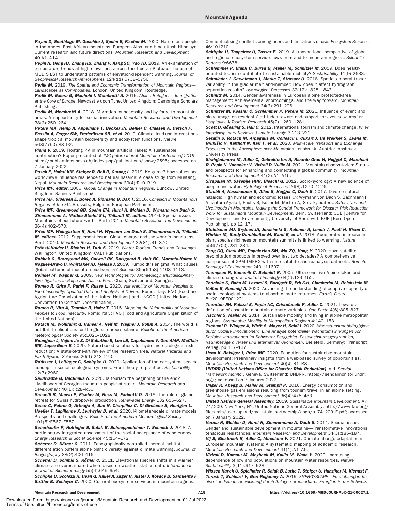Payne D. Snethlage M. Geschke J. Spehn E. Fischer M. 2020. Nature and people in the Andes, East African mountains, European Alps, and Hindu Kush Himalaya: Current research and future directions. Mountain Research and Development 40:A1–A14.

Pepin N, Deng HJ, Zhang HB, Zhang F, Kang SC, Yao TD. 2019. An examination of temperature trends at high elevations across the Tibetan Plateau: The use of MODIS LST to understand patterns of elevation-dependent warming. Journal of

Geophysical Research–Atmospheres 124(11):5738–5756. Perlik M. 2019. The Spatial and Economic Transformation of Mountain Regions-Landscapes as Commodities. London, United Kingdom: Routledge.

Perlik M, Galera G, Machold I, Membretti A. 2019. Alpine Refugees-Immigration at the Core of Europe. Newcastle upon Tyne, United Kingdom: Cambridge Scholars Publishing.

Perlik M, Membretti A. 2018. Migration by necessity and by force to mountain areas: An opportunity for social innovation. Mountain Research and Development 38(3):250–264.

Peters MK, Hemp A, Appelhans T, Becker JN, Behler C, Classen A, Detsch F, Ensslin A, Ferger SW, Frederiksen SB, et al. 2019. Climate-land-use interactions shape tropical mountain biodiversity and ecosystem functions. Nature 568(7750):88–92.

Piana V. 2019. Floating PV in mountain artificial lakes: A sustainable

contribution? Paper presented at IMC [International Mountain Conference] 2019. [http://publications.hevs.ch/index.php/publications/show/2595;](http://publications.hevs.ch/index.php/publications/show/2595) accessed on 7 January 2022.

Posch E, Hoferl KM, Steiger R, Bell R, Gurung L. 2019. Ke garne? How values and worldviews influence resilience to natural hazards: A case study from Mustang, Nepal. Mountain Research and Development 39(4):R10–R19.

Price MF, editor. 2006. Global Change in Mountain Regions. Duncow, United Kingdom: Sapiens Publishing.

Price MF, Gløersen E, Borec A, Giordano B, Dax T. 2016. Cohesion in Mountainous Regions of the EU. Brussels, Belgium: European Parliament.

Price MF, Greenwood GB, Spehn EM, Hurni H, Molden D, Wymann von Dach S, **Zimmermann A. Mathez-Stiefel S-L. Thibault M. editors.** 2016. Special issue: Mountains of our future Earth—Perth 2015. Mountain Research and Development 36(4):402–570.

Price MF, Weingartner R, Hurni H, Wymann von Dach S, Zimmermann A, Thibault M, editors. 2012. Supplement issue: Global change and the world's mountains-Perth 2010. Mountain Research and Development 32(S1):S1–S70.

Pröbstl-Haider U, Richins H, Türk S. 2019. Winter Tourism. Trends and Challenges. Wallington, United Kingdom: CABI Publications.

Rahbek C, Borregaard MK, Colwell RK, Dalsgaard B, Holt BG, Morueta-Holme N, Nogues-Bravo D, Whittaker RJ, Fjeldsa J. 2019. Humboldt's enigma: What causes global patterns of mountain biodiversity? Science 365(6458):1108–1113. Reindel M, Wagner G. 2009. New Technologies for Archaeology: Multidisciplinary

Investigations in Palpa and Nasca, Peru. Cham, Switzerland: Springer. Romeo R, Grita F, Parisi F, Russo L. 2020. Vulnerability of Mountain Peoples to Food Insecurity: Updated Data and Analysis of Drivers. Rome, Italy: FAO [Food and Agriculture Organization of the United Nations] and UNCCD [United Nations Convention to Combat Desertification].

Romeo R, Vita A, Testolin R, Hofer T. 2015. Mapping the Vulnerability of Mountain Peoples to Food Insecurity. Rome: Italy: FAO [Food and Agriculture Organization of the United Nations].

Rotach M, Wohlfahrt G, Hansel A, Reif M, Wagner J, Gohm A. 2014. The world is not flat: Implications for the global carbon balance. Bulletin of the American Meteorological Society 95:1021–1028.

Ruangpan L, Vojinovic Z, Di Sabatino S, Leo LS, Capobianco V, Oen AMP, McClain ME, Lopez-Gunn E. 2020. Nature-based solutions for hydro-meteorological risk reduction: A state-of-the-art review of the research area. Natural Hazards and Earth System Sciences 20(1):243–270.

Rüdisser J, Leitinger G, Schirpke U. 2020. Application of the ecosystem service concept in social–ecological systems: From theory to practice. Sustainability 12(7):2960.

Salukvadze G. Backhaus N. 2020. Is tourism the beginning or the end? Livelihoods of Georgian mountain people at stake. Mountain Research and Development 40(1):R28–R36.

Schaefli B, Manso P, Fischer M, Huss M, Farinotti D. 2019. The role of glacier retreat for Swiss hydropower production. Renewable Energy 132:615–627. Schär C, Fuhrer O, Arteaga A, Ban N, Charpilloz C, Di Girolamo S, Hentgen L, Hoefler T, Lapillonne X, Leutwyler D, et al. 2020. Kilometer-scale climate models:

Prospects and challenges. Bulletin of the American Meteorological Society 101(5):E567–E587.

Scherhaufer P, Holtinger S, Salak B, Schauppenlehner T, Schmidt J. 2018. A participatory integrated assessment of the social acceptance of wind energy. Energy Research & Social Science 45:164–172.

Scherrer D, Körner C. 2011. Topographically controlled thermal-habitat differentiation buffers alpine plant diversity against climate warming. Journal of Biogeography 38(2):406–416.

Scherrer D, Schmid S, Körner C. 2011. Elevational species shifts in a warmer climate are overestimated when based on weather station data. International Journal of Biometeorology 55(4):645–654.

Schirpke U, Scolozzi R, Dean G, Haller A, Jäger H, Kister J, Kovács B, Sarmiento F, Sattler B, Schleyer C. 2020. Cultural ecosystem services in mountain regions:

Conceptualising conflicts among users and limitations of use. Ecosystem Services 46:101210.

Schirpke U, Tappeiner U, Tasser E. 2019. A transnational perspective of global and regional ecosystem service flows from and to mountain regions. Scientific Reports 9:6678.

Schlemmer P, Blank C, Bursa B, Mailer M, Schnitzer M. 2019. Does healthoriented tourism contribute to sustainable mobility? Sustainability 11(9):2633. Schmieder J, Garvelmann J, Marke T, Strasser U. 2018. Spatio-temporal tracer variability in the glacier melt end-member: How does it affect hydrograph separation results? Hydrological Processes 32(12):1828–1843.

Schmitt M. 2014. Gender awareness in European alpine protected-area management: Achievements, shortcomings, and the way forward. Mountain Research and Development 34(3):291–296.

Schnitzer M, Kossler C, Schlemmer P, Peters M. 2021. Influence of event and place image on residents' attitudes toward and support for events. Journal of Hospitality & Tourism Research 45(7):1260–1281.

Scott D, Gössling S, Hall C. 2012. International tourism and climate change. Wiley Interdisciplinary Reviews: Climate Change 3:213–232.

Serafin S, Rotach M, Arpagaus M, Colfescu I, Cuxart J, De Wekker S, Evans M, Grubišić V, Kalthoff N, Karl T, et al. 2020. Multi-scale Transport and Exchange Processes in the Atmosphere over Mountains. Innsbruck, Austria: Innsbruck University Press.

Shahgedanova M, Adler C, Gebrekirstos A, Ricardo Grau H, Huggel C, Marchant R, Pepin N, Vanacker V, Viviroli D, Vuille M. 2021. Mountain observatories: Status and prospects for enhancing and connecting a global community. Mountain Research and Development 41(2):A1–A15.

Sivapalan M, Savenije HHG, Bloschl G. 2012. Socio-hydrology: A new science of people and water. Hydrological Processes 26(8):1270–1276.

Stäubli A, Nussbaumer S, Allen S, Huggel C, Dach S. 2017. Diverse natural hazards: High human and economic losses. In: Wymann von Dach S, Bachmann F, Alcántara-Ayala I, Fuchs S, Keiler M, Mishra A, Sötz E, editors. Safer Lives and Livelihoods in Mountains: Making the Sendai Framework for Disaster Risk Reduction Work for Sustainable Mountain Development. Bern, Switzerland: CDE [Centre for Development and Environment], University of Bern, with BOP [Bern Open Publishing], pp 12–17.

Steinbauer MJ, Grytnes JA, Jurasinski G, Kulonen A, Lenoir J, Pauli H, Rixen C, Winkler M, Bardy-Durchhalter M, Barni E, et al. 2018. Accelerated increase in plant species richness on mountain summits is linked to warming. Nature 556(7700):231–234.

Tang GQ, Clark MP, Papalexiou SM, Ma ZQ, Hong Y. 2020. Have satellite precipitation products improved over last two decades? A comprehensive comparison of GPM IMERG with nine satellite and reanalysis datasets. Remote Sensing of Environment 240:111697.

Thompson R, Kamenik C, Schmidt R. 2005. Ultra-sensitive Alpine lakes and climate change. Journal of Limnology 64(2):139–152.

Thonicke K, Bahn M, Lavorel S, Bardgett R, Erb K-H, Giamberini M, Reichstein M, Vollan B, Rammig A. 2020. Advancing the understanding of adaptive capacity of social–ecological systems to absorb climate extremes. Earth's Future 8:e2019EF001221.

Thornton JM, Palazzi E, Pepin NC, Cristofanelli P, Adler C. 2021. Toward a definition of essential mountain climate variables. One Earth 4(6):805–827. **Tischler S, Mailer M.** 2014. Sustainable mobility and living in alpine metropolitan regions. Sustainable Mobility in Metropolitan Regions 4:140–153.

Tschumi P, Winiger A, Wirth S, Mayer H, Seidl I. 2020. Wachstumsunabhängigkeit durch Soziale Innovationen? Eine Analyse potenzieller Wachstumswirkungen von Sozialen Innovationen im Schweizer Berggebiet. Postwachstumsgeographien, Raumbezüge diverser und alternativer Ökonomien. Bielefeld, Germany: Transcript Verlag, pp 117–137.

Ueno K, Balsiger J, Price MF. 2020. Education for sustainable mountain development: Preliminary insights from a web-based survey of opportunities. Mountain Research and Development 40(4):R1–R8.

UNDRR [United Nations Office for Disaster Risk Reduction]. n.d. Sendai Framework Monitor. Geneva, Switzerland: UNDRR. [https://sendaimonitor.undrr.](https://sendaimonitor.undrr.org/) [org/](https://sendaimonitor.undrr.org/); accessed on 7 January 2022.

Unger R, Abegg B, Mailer M, Stampfl P. 2016. Energy consumption and greenhouse gas emissions resulting from tourism travel in an alpine setting. Mountain Research and Development 36(4):475–483.

United Nations General Assembly. 2019. Sustainable Mountain Development. A/ 74/209. New York, NY: United Nations General Assembly. [http://www.fao.org/](http://www.fao.org/fileadmin/user_upload/mountain_partnership/docs/a_74_209_E.pdf) [fileadmin/user\\_upload/mountain\\_partnership/docs/a\\_74\\_209\\_E.pdf;](http://www.fao.org/fileadmin/user_upload/mountain_partnership/docs/a_74_209_E.pdf) accessed on 7 January 2022.

Verma R, Molden D, Hurni H, Zimmermann A, Dach S. 2014. Special issue: Gender and sustainable development in mountains—Transformative innovations, tenacious resistances. Mountain Research and Development 34(3):185–187.

Vij S, Biesbroek R, Adler C, Muccione V. 2021. Climate change adaptation in European mountain systems: A systematic mapping of academic research. Mountain Research and Development 41(1):A1–A6.

Viviroli D, Kummu M, Meybeck M, Kallio M, Wada Y. 2020. Increasing dependence of lowland populations on mountain water resources. Nature Sustainability 3(11):917–928.

Wissen Hayek U, Spielhofer R, Salak B, Luthe T, Steiger U, Hunziker M, Kienast F, Thrash T, Schinazi V, Grêt-Regamey A. 2019. ENERGYSCAPE—Empfehlungen für eine Landschaftsentwicklung durch Anlagen erneuerbarer Energien in der Schweiz.